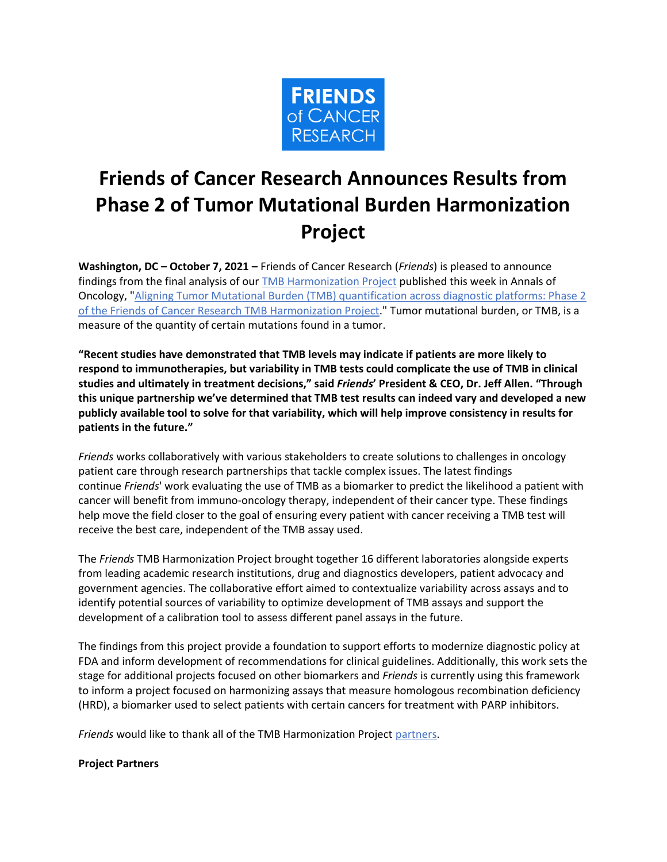

## **Friends of Cancer Research Announces Results from Phase 2 of Tumor Mutational Burden Harmonization Project**

**Washington, DC – October 7, 2021 –** Friends of Cancer Research (*Friends*) is pleased to announce findings from the final analysis of our [TMB Harmonization Project](https://friendsofcancerresearch.org/tmb) published this week in Annals of Oncology, ["Aligning Tumor Mutational Burden \(TMB\) quantification across diagnostic platforms: Phase 2](https://www.annalsofoncology.org/article/S0923-7534(21)04495-1/fulltext)  [of the Friends of Cancer Research TMB Harmonization Project.](https://www.annalsofoncology.org/article/S0923-7534(21)04495-1/fulltext)" Tumor mutational burden, or TMB, is a measure of the quantity of certain mutations found in a tumor.

**"Recent studies have demonstrated that TMB levels may indicate if patients are more likely to respond to immunotherapies, but variability in TMB tests could complicate the use of TMB in clinical studies and ultimately in treatment decisions," said** *Friends***' President & CEO, Dr. Jeff Allen. "Through this unique partnership we've determined that TMB test results can indeed vary and developed a new publicly available tool to solve for that variability, which will help improve consistency in results for patients in the future."**

*Friends* works collaboratively with various stakeholders to create solutions to challenges in oncology patient care through research partnerships that tackle complex issues. The latest findings continue *Friends*' work evaluating the use of TMB as a biomarker to predict the likelihood a patient with cancer will benefit from immuno-oncology therapy, independent of their cancer type. These findings help move the field closer to the goal of ensuring every patient with cancer receiving a TMB test will receive the best care, independent of the TMB assay used.

The *Friends* TMB Harmonization Project brought together 16 different laboratories alongside experts from leading academic research institutions, drug and diagnostics developers, patient advocacy and government agencies. The collaborative effort aimed to contextualize variability across assays and to identify potential sources of variability to optimize development of TMB assays and support the development of a calibration tool to assess different panel assays in the future.

The findings from this project provide a foundation to support efforts to modernize diagnostic policy at FDA and inform development of recommendations for clinical guidelines. Additionally, this work sets the stage for additional projects focused on other biomarkers and *Friends* is currently using this framework to inform a project focused on harmonizing assays that measure homologous recombination deficiency (HRD), a biomarker used to select patients with certain cancers for treatment with PARP inhibitors.

*Friends* would like to thank all of the TMB Harmonization Project [partners.](https://www.focr.org/sites/default/files/TMB_Working_Group-ALL-2020.pdf)

## **Project Partners**